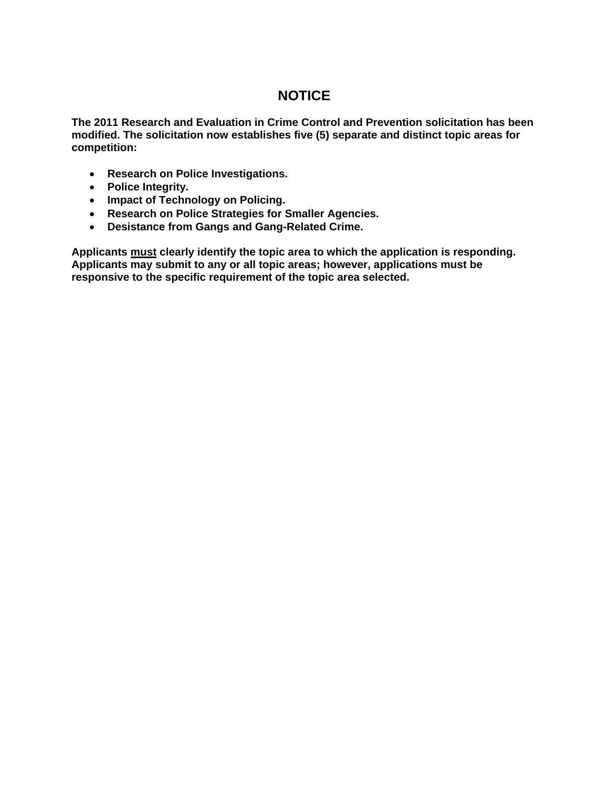### **NOTICE**

**The 2011 Research and Evaluation in Crime Control and Prevention solicitation has been modified. The solicitation now establishes five (5) separate and distinct topic areas for competition:** 

- **Research on Police Investigations.**
- **Police Integrity.**
- **Impact of Technology on Policing.**
- **Research on Police Strategies for Smaller Agencies.**
- **Desistance from Gangs and Gang-Related Crime.**

**Applicants must clearly identify the topic area to which the application is responding. Applicants may submit to any or all topic areas; however, applications must be responsive to the specific requirement of the topic area selected.**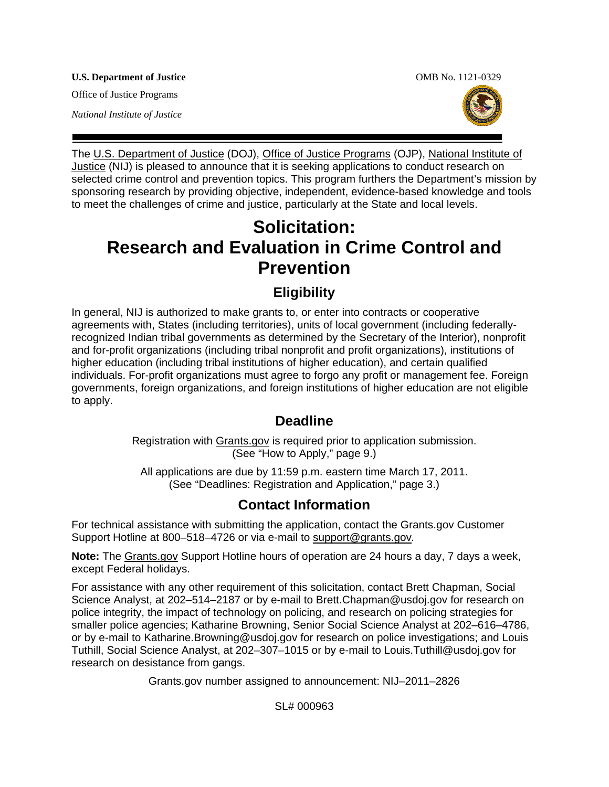**U.S. Department of Justice**  OMB No. 1121-0329

Office of Justice Programs

*National Institute of Justice* 



The [U.S. Department of Justice](http://www.usdoj.gov/) (DOJ), [Office of Justice Programs](http://www.ojp.gov/flash.htm) (OJP), [National Institute of](http://www.ojp.usdoj.gov/nij/)  [Justice](http://www.ojp.usdoj.gov/nij/) (NIJ) is pleased to announce that it is seeking applications to conduct research on selected crime control and prevention topics. This program furthers the Department's mission by sponsoring research by providing objective, independent, evidence-based knowledge and tools to meet the challenges of crime and justice, particularly at the State and local levels.

# **Solicitation: Research and Evaluation in Crime Control and Prevention**

# **Eligibility**

In general, NIJ is authorized to make grants to, or enter into contracts or cooperative agreements with, States (including territories), units of local government (including federallyrecognized Indian tribal governments as determined by the Secretary of the Interior), nonprofit and for-profit organizations (including tribal nonprofit and profit organizations), institutions of higher education (including tribal institutions of higher education), and certain qualified individuals. For-profit organizations must agree to forgo any profit or management fee. Foreign governments, foreign organizations, and foreign institutions of higher education are not eligible to apply.

# **Deadline**

Registration with [Grants.gov](http://www.grants.gov/applicants/apply_for_grants.jsp) is required prior to application submission. (See "How to Apply," page 9.)

All applications are due by 11:59 p.m. eastern time March 17, 2011. (See "Deadlines: Registration and Application," page 3.)

# **Contact Information**

For technical assistance with submitting the application, contact the Grants.gov Customer Support Hotline at 800–518–4726 or via e-mail to [support@grants.gov](mailto:support@grants.gov)*.*

**Note:** The [Grants.gov](http://www.grants.gov/applicants/apply_for_grants.jsp) Support Hotline hours of operation are 24 hours a day, 7 days a week, except Federal holidays.

For assistance with any other requirement of this solicitation, contact Brett Chapman, Social Science Analyst, at 202–514–2187 or by e-mail to Brett.Chapman@usdoj.gov for research on police integrity, the impact of technology on policing, and research on policing strategies for smaller police agencies; Katharine Browning, Senior Social Science Analyst at 202–616–4786, or by e-mail to Katharine.Browning@usdoj.gov for research on police investigations; and Louis Tuthill, Social Science Analyst, at 202–307–1015 or by e-mail to Louis.Tuthill@usdoj.gov for research on desistance from gangs.

Grants.gov number assigned to announcement: NIJ–2011–2826

SL# 000963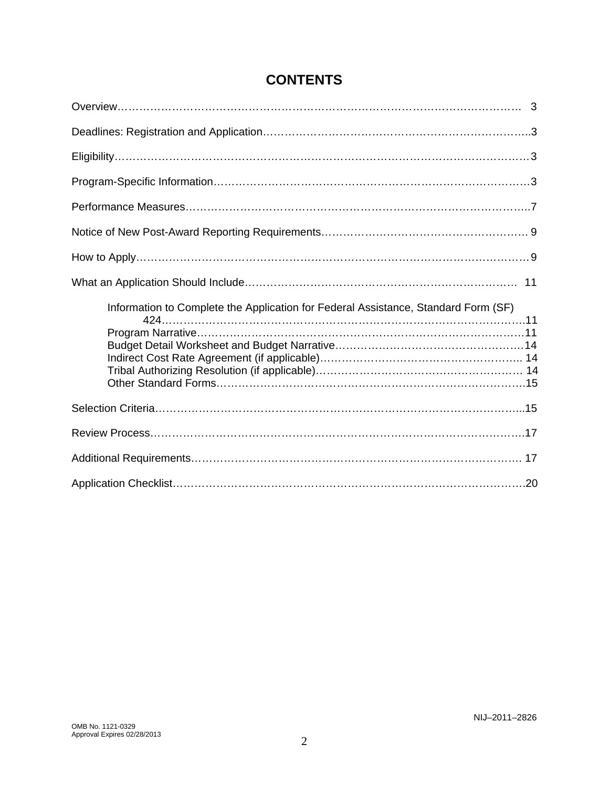| Information to Complete the Application for Federal Assistance, Standard Form (SF) |  |
|------------------------------------------------------------------------------------|--|
|                                                                                    |  |
|                                                                                    |  |
|                                                                                    |  |

# **CONTENTS**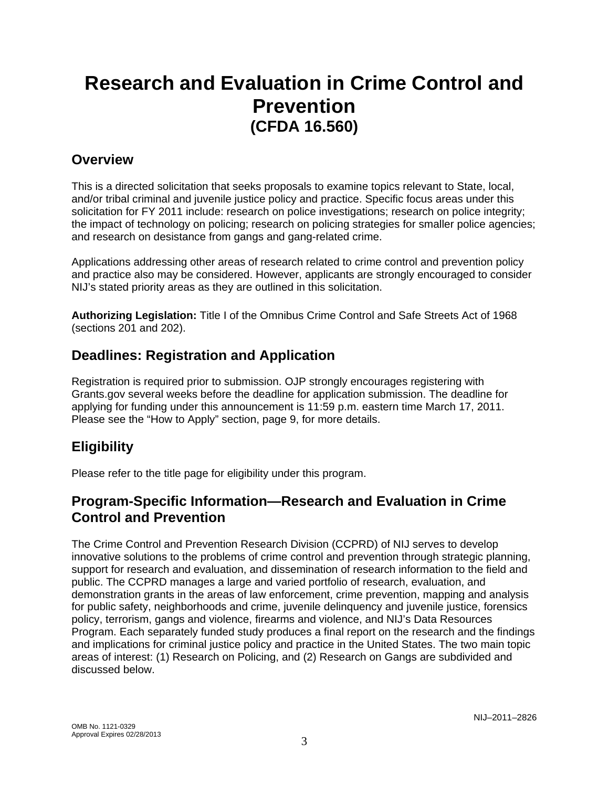# **Research and Evaluation in Crime Control and Prevention (CFDA 16.560)**

### **Overview**

This is a directed solicitation that seeks proposals to examine topics relevant to State, local, and/or tribal criminal and juvenile justice policy and practice. Specific focus areas under this solicitation for FY 2011 include: research on police investigations; research on police integrity; the impact of technology on policing; research on policing strategies for smaller police agencies; and research on desistance from gangs and gang-related crime.

Applications addressing other areas of research related to crime control and prevention policy and practice also may be considered. However, applicants are strongly encouraged to consider NIJ's stated priority areas as they are outlined in this solicitation.

**Authorizing Legislation:** Title I of the Omnibus Crime Control and Safe Streets Act of 1968 (sections 201 and 202).

### **Deadlines: Registration and Application**

Registration is required prior to submission. OJP strongly encourages registering with Grants.gov several weeks before the deadline for application submission. The deadline for applying for funding under this announcement is 11:59 p.m. eastern time March 17, 2011. Please see the "How to Apply" section, page 9, for more details.

# **Eligibility**

Please refer to the title page for eligibility under this program.

### **Program-Specific Information—Research and Evaluation in Crime Control and Prevention**

The Crime Control and Prevention Research Division (CCPRD) of NIJ serves to develop innovative solutions to the problems of crime control and prevention through strategic planning, support for research and evaluation, and dissemination of research information to the field and public. The CCPRD manages a large and varied portfolio of research, evaluation, and demonstration grants in the areas of law enforcement, crime prevention, mapping and analysis for public safety, neighborhoods and crime, juvenile delinquency and juvenile justice, forensics policy, terrorism, gangs and violence, firearms and violence, and NIJ's Data Resources Program. Each separately funded study produces a final report on the research and the findings and implications for criminal justice policy and practice in the United States. The two main topic areas of interest: (1) Research on Policing, and (2) Research on Gangs are subdivided and discussed below.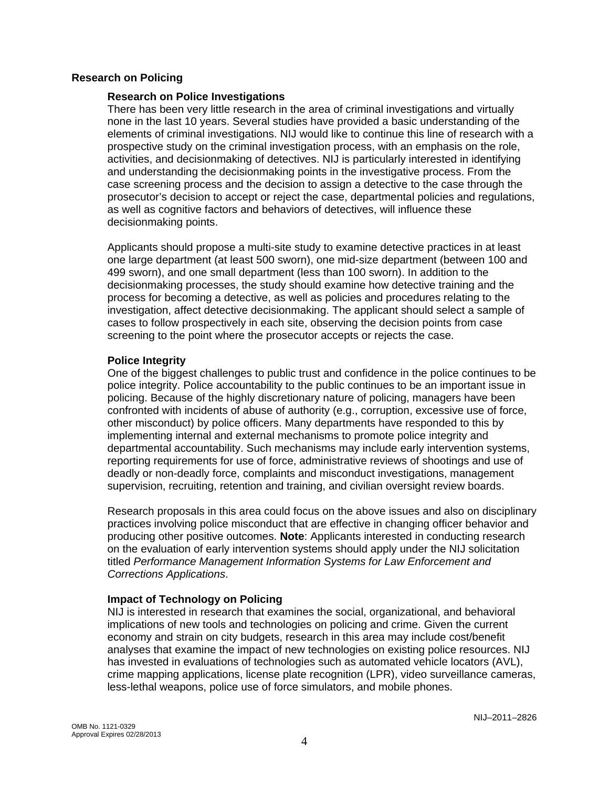#### **Research on Policing**

#### **Research on Police Investigations**

There has been very little research in the area of criminal investigations and virtually none in the last 10 years. Several studies have provided a basic understanding of the elements of criminal investigations. NIJ would like to continue this line of research with a prospective study on the criminal investigation process, with an emphasis on the role, activities, and decisionmaking of detectives. NIJ is particularly interested in identifying and understanding the decisionmaking points in the investigative process. From the case screening process and the decision to assign a detective to the case through the prosecutor's decision to accept or reject the case, departmental policies and regulations, as well as cognitive factors and behaviors of detectives, will influence these decisionmaking points.

Applicants should propose a multi-site study to examine detective practices in at least one large department (at least 500 sworn), one mid-size department (between 100 and 499 sworn), and one small department (less than 100 sworn). In addition to the decisionmaking processes, the study should examine how detective training and the process for becoming a detective, as well as policies and procedures relating to the investigation, affect detective decisionmaking. The applicant should select a sample of cases to follow prospectively in each site, observing the decision points from case screening to the point where the prosecutor accepts or rejects the case.

#### **Police Integrity**

One of the biggest challenges to public trust and confidence in the police continues to be police integrity. Police accountability to the public continues to be an important issue in policing. Because of the highly discretionary nature of policing, managers have been confronted with incidents of abuse of authority (e.g., corruption, excessive use of force, other misconduct) by police officers. Many departments have responded to this by implementing internal and external mechanisms to promote police integrity and departmental accountability. Such mechanisms may include early intervention systems, reporting requirements for use of force, administrative reviews of shootings and use of deadly or non-deadly force, complaints and misconduct investigations, management supervision, recruiting, retention and training, and civilian oversight review boards.

Research proposals in this area could focus on the above issues and also on disciplinary practices involving police misconduct that are effective in changing officer behavior and producing other positive outcomes. **Note**: Applicants interested in conducting research on the evaluation of early intervention systems should apply under the NIJ solicitation titled *Performance Management Information Systems for Law Enforcement and Corrections Applications*.

### **Impact of Technology on Policing**

NIJ is interested in research that examines the social, organizational, and behavioral implications of new tools and technologies on policing and crime. Given the current economy and strain on city budgets, research in this area may include cost/benefit analyses that examine the impact of new technologies on existing police resources. NIJ has invested in evaluations of technologies such as automated vehicle locators (AVL), crime mapping applications, license plate recognition (LPR), video surveillance cameras, less-lethal weapons, police use of force simulators, and mobile phones.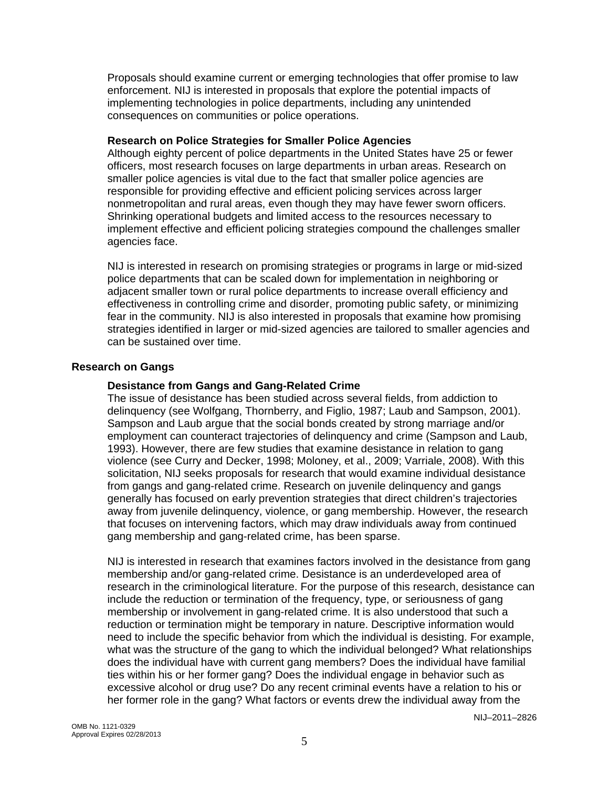Proposals should examine current or emerging technologies that offer promise to law enforcement. NIJ is interested in proposals that explore the potential impacts of implementing technologies in police departments, including any unintended consequences on communities or police operations.

#### **Research on Police Strategies for Smaller Police Agencies**

Although eighty percent of police departments in the United States have 25 or fewer officers, most research focuses on large departments in urban areas. Research on smaller police agencies is vital due to the fact that smaller police agencies are responsible for providing effective and efficient policing services across larger nonmetropolitan and rural areas, even though they may have fewer sworn officers. Shrinking operational budgets and limited access to the resources necessary to implement effective and efficient policing strategies compound the challenges smaller agencies face.

NIJ is interested in research on promising strategies or programs in large or mid-sized police departments that can be scaled down for implementation in neighboring or adjacent smaller town or rural police departments to increase overall efficiency and effectiveness in controlling crime and disorder, promoting public safety, or minimizing fear in the community. NIJ is also interested in proposals that examine how promising strategies identified in larger or mid-sized agencies are tailored to smaller agencies and can be sustained over time.

### **Research on Gangs**

#### **Desistance from Gangs and Gang-Related Crime**

The issue of desistance has been studied across several fields, from addiction to delinquency (see Wolfgang, Thornberry, and Figlio, 1987; Laub and Sampson, 2001). Sampson and Laub argue that the social bonds created by strong marriage and/or employment can counteract trajectories of delinquency and crime (Sampson and Laub, 1993). However, there are few studies that examine desistance in relation to gang violence (see Curry and Decker, 1998; Moloney, et al., 2009; Varriale, 2008). With this solicitation, NIJ seeks proposals for research that would examine individual desistance from gangs and gang-related crime. Research on juvenile delinquency and gangs generally has focused on early prevention strategies that direct children's trajectories away from juvenile delinquency, violence, or gang membership. However, the research that focuses on intervening factors, which may draw individuals away from continued gang membership and gang-related crime, has been sparse.

NIJ is interested in research that examines factors involved in the desistance from gang membership and/or gang-related crime. Desistance is an underdeveloped area of research in the criminological literature. For the purpose of this research, desistance can include the reduction or termination of the frequency, type, or seriousness of gang membership or involvement in gang-related crime. It is also understood that such a reduction or termination might be temporary in nature. Descriptive information would need to include the specific behavior from which the individual is desisting. For example, what was the structure of the gang to which the individual belonged? What relationships does the individual have with current gang members? Does the individual have familial ties within his or her former gang? Does the individual engage in behavior such as excessive alcohol or drug use? Do any recent criminal events have a relation to his or her former role in the gang? What factors or events drew the individual away from the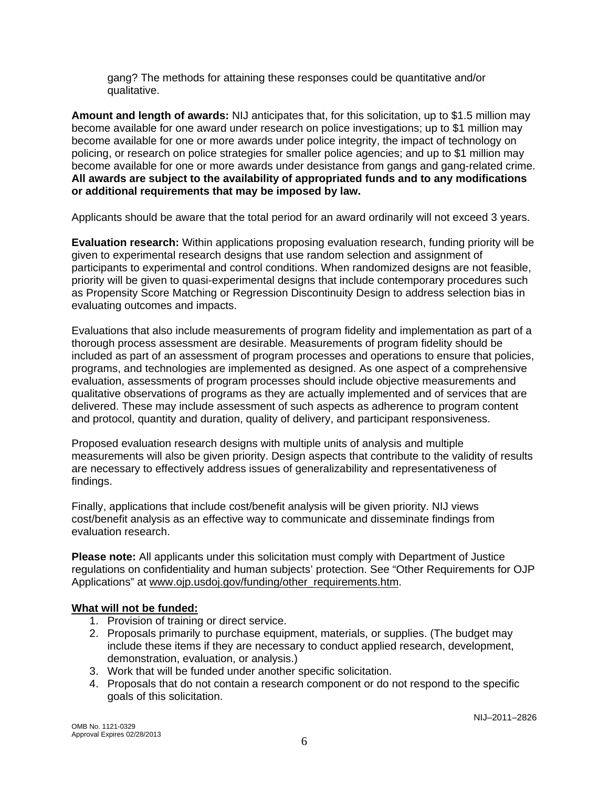gang? The methods for attaining these responses could be quantitative and/or qualitative.

**Amount and length of awards:** NIJ anticipates that, for this solicitation, up to \$1.5 million may become available for one award under research on police investigations; up to \$1 million may become available for one or more awards under police integrity, the impact of technology on policing, or research on police strategies for smaller police agencies; and up to \$1 million may become available for one or more awards under desistance from gangs and gang-related crime. **All awards are subject to the availability of appropriated funds and to any modifications or additional requirements that may be imposed by law.** 

Applicants should be aware that the total period for an award ordinarily will not exceed 3 years.

**Evaluation research:** Within applications proposing evaluation research, funding priority will be given to experimental research designs that use random selection and assignment of participants to experimental and control conditions. When randomized designs are not feasible, priority will be given to quasi-experimental designs that include contemporary procedures such as Propensity Score Matching or Regression Discontinuity Design to address selection bias in evaluating outcomes and impacts.

Evaluations that also include measurements of program fidelity and implementation as part of a thorough process assessment are desirable. Measurements of program fidelity should be included as part of an assessment of program processes and operations to ensure that policies, programs, and technologies are implemented as designed. As one aspect of a comprehensive evaluation, assessments of program processes should include objective measurements and qualitative observations of programs as they are actually implemented and of services that are delivered. These may include assessment of such aspects as adherence to program content and protocol, quantity and duration, quality of delivery, and participant responsiveness.

Proposed evaluation research designs with multiple units of analysis and multiple measurements will also be given priority. Design aspects that contribute to the validity of results are necessary to effectively address issues of generalizability and representativeness of findings.

Finally, applications that include cost/benefit analysis will be given priority. NIJ views cost/benefit analysis as an effective way to communicate and disseminate findings from evaluation research.

**Please note:** All applicants under this solicitation must comply with Department of Justice regulations on confidentiality and human subjects' protection. See "Other Requirements for OJP Applications" at [www.ojp.usdoj.gov/funding/other\\_requirements.htm.](http://www.ojp.usdoj.gov/funding/other_requirements.htm)

### **What will not be funded:**

- 1. Provision of training or direct service.
- 2. Proposals primarily to purchase equipment, materials, or supplies. (The budget may include these items if they are necessary to conduct applied research, development, demonstration, evaluation, or analysis.)
- 3. Work that will be funded under another specific solicitation.
- 4. Proposals that do not contain a research component or do not respond to the specific goals of this solicitation.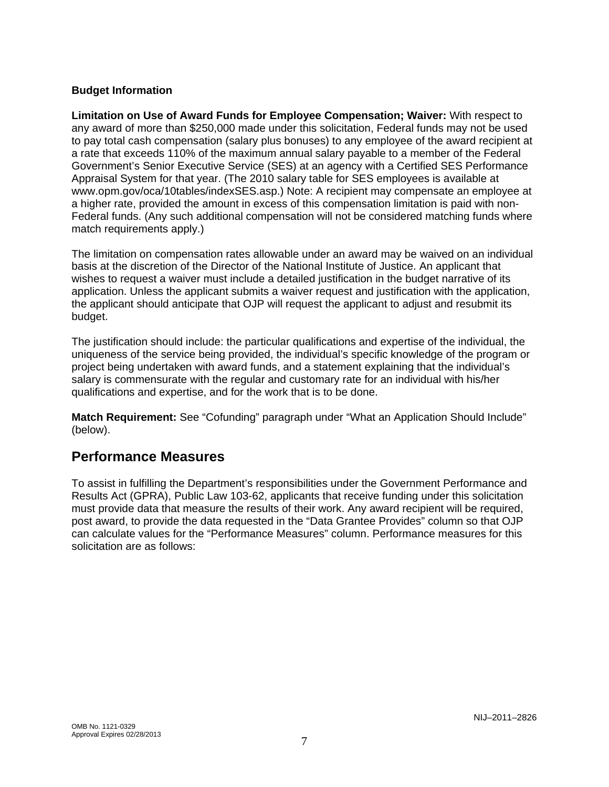### **Budget Information**

**Limitation on Use of Award Funds for Employee Compensation; Waiver:** With respect to any award of more than \$250,000 made under this solicitation, Federal funds may not be used to pay total cash compensation (salary plus bonuses) to any employee of the award recipient at a rate that exceeds 110% of the maximum annual salary payable to a member of the Federal Government's Senior Executive Service (SES) at an agency with a Certified SES Performance Appraisal System for that year. (The 2010 salary table for SES employees is available at www.opm.gov/oca/10tables/indexSES.asp.) Note: A recipient may compensate an employee at a higher rate, provided the amount in excess of this compensation limitation is paid with non-Federal funds. (Any such additional compensation will not be considered matching funds where match requirements apply.)

The limitation on compensation rates allowable under an award may be waived on an individual basis at the discretion of the Director of the National Institute of Justice. An applicant that wishes to request a waiver must include a detailed justification in the budget narrative of its application. Unless the applicant submits a waiver request and justification with the application, the applicant should anticipate that OJP will request the applicant to adjust and resubmit its budget.

The justification should include: the particular qualifications and expertise of the individual, the uniqueness of the service being provided, the individual's specific knowledge of the program or project being undertaken with award funds, and a statement explaining that the individual's salary is commensurate with the regular and customary rate for an individual with his/her qualifications and expertise, and for the work that is to be done.

**Match Requirement:** See "Cofunding" paragraph under "What an Application Should Include" (below).

### **Performance Measures**

To assist in fulfilling the Department's responsibilities under the Government Performance and Results Act (GPRA), Public Law 103-62, applicants that receive funding under this solicitation must provide data that measure the results of their work. Any award recipient will be required, post award, to provide the data requested in the "Data Grantee Provides" column so that OJP can calculate values for the "Performance Measures" column. Performance measures for this solicitation are as follows: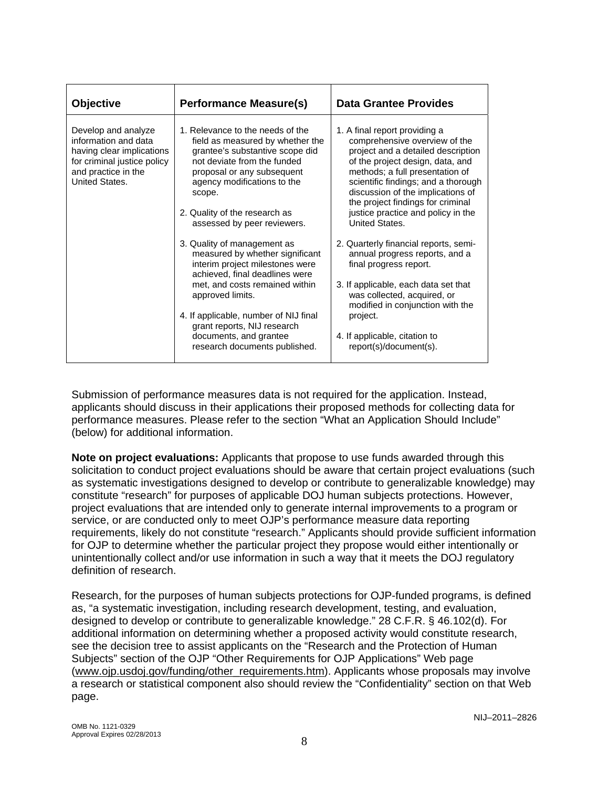| <b>Objective</b>                                                                                                                                 | <b>Performance Measure(s)</b>                                                                                                                                                                                                                                                                                                                                                                                                                                                                                                                                                                                 | <b>Data Grantee Provides</b>                                                                                                                                                                                                                                                                                                                                                                                                                                                                                                                                                                                                                |
|--------------------------------------------------------------------------------------------------------------------------------------------------|---------------------------------------------------------------------------------------------------------------------------------------------------------------------------------------------------------------------------------------------------------------------------------------------------------------------------------------------------------------------------------------------------------------------------------------------------------------------------------------------------------------------------------------------------------------------------------------------------------------|---------------------------------------------------------------------------------------------------------------------------------------------------------------------------------------------------------------------------------------------------------------------------------------------------------------------------------------------------------------------------------------------------------------------------------------------------------------------------------------------------------------------------------------------------------------------------------------------------------------------------------------------|
| Develop and analyze<br>information and data<br>having clear implications<br>for criminal justice policy<br>and practice in the<br>United States. | 1. Relevance to the needs of the<br>field as measured by whether the<br>grantee's substantive scope did<br>not deviate from the funded<br>proposal or any subsequent<br>agency modifications to the<br>scope.<br>2. Quality of the research as<br>assessed by peer reviewers.<br>3. Quality of management as<br>measured by whether significant<br>interim project milestones were<br>achieved, final deadlines were<br>met, and costs remained within<br>approved limits.<br>4. If applicable, number of NIJ final<br>grant reports, NIJ research<br>documents, and grantee<br>research documents published. | 1. A final report providing a<br>comprehensive overview of the<br>project and a detailed description<br>of the project design, data, and<br>methods; a full presentation of<br>scientific findings; and a thorough<br>discussion of the implications of<br>the project findings for criminal<br>justice practice and policy in the<br>United States.<br>2. Quarterly financial reports, semi-<br>annual progress reports, and a<br>final progress report.<br>3. If applicable, each data set that<br>was collected, acquired, or<br>modified in conjunction with the<br>project.<br>4. If applicable, citation to<br>report(s)/document(s). |

Submission of performance measures data is not required for the application. Instead, applicants should discuss in their applications their proposed methods for collecting data for performance measures. Please refer to the section "What an Application Should Include" (below) for additional information.

**Note on project evaluations:** Applicants that propose to use funds awarded through this solicitation to conduct project evaluations should be aware that certain project evaluations (such as systematic investigations designed to develop or contribute to generalizable knowledge) may constitute "research" for purposes of applicable DOJ human subjects protections. However, project evaluations that are intended only to generate internal improvements to a program or service, or are conducted only to meet OJP's performance measure data reporting requirements, likely do not constitute "research." Applicants should provide sufficient information for OJP to determine whether the particular project they propose would either intentionally or unintentionally collect and/or use information in such a way that it meets the DOJ regulatory definition of research.

Research, for the purposes of human subjects protections for OJP-funded programs, is defined as, "a systematic investigation, including research development, testing, and evaluation, designed to develop or contribute to generalizable knowledge." 28 C.F.R. § 46.102(d). For additional information on determining whether a proposed activity would constitute research, see the decision tree to assist applicants on the "Research and the Protection of Human Subjects" section of the OJP "Other Requirements for OJP Applications" Web page ([www.ojp.usdoj.gov/funding/other\\_requirements.htm](http://www.ojp.usdoj.gov/funding/other_requirements.htm)). Applicants whose proposals may involve a research or statistical component also should review the "Confidentiality" section on that Web page.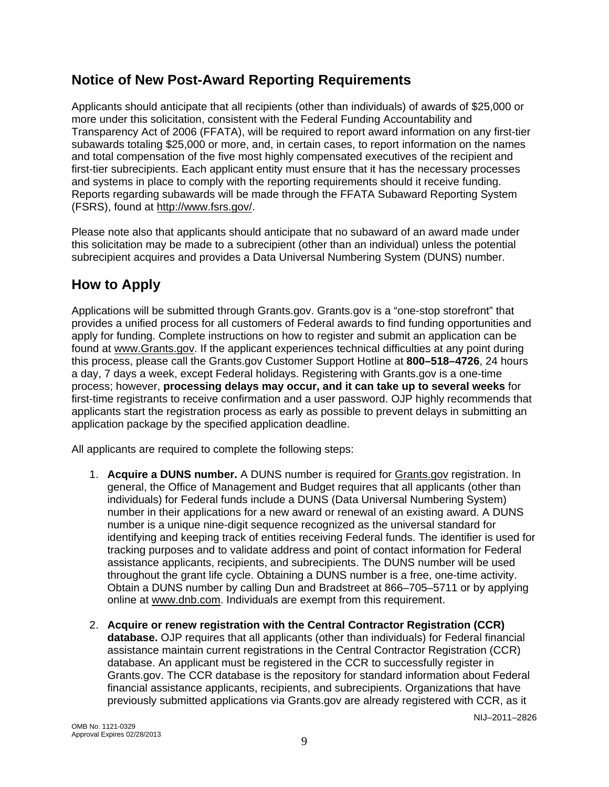## **Notice of New Post-Award Reporting Requirements**

Applicants should anticipate that all recipients (other than individuals) of awards of \$25,000 or more under this solicitation, consistent with the Federal Funding Accountability and Transparency Act of 2006 (FFATA), will be required to report award information on any first-tier subawards totaling \$25,000 or more, and, in certain cases, to report information on the names and total compensation of the five most highly compensated executives of the recipient and first-tier subrecipients. Each applicant entity must ensure that it has the necessary processes and systems in place to comply with the reporting requirements should it receive funding. Reports regarding subawards will be made through the FFATA Subaward Reporting System (FSRS), found at <http://www.fsrs.gov/>.

Please note also that applicants should anticipate that no subaward of an award made under this solicitation may be made to a subrecipient (other than an individual) unless the potential subrecipient acquires and provides a Data Universal Numbering System (DUNS) number.

# **How to Apply**

Applications will be submitted through Grants.gov. Grants.gov is a "one-stop storefront" that provides a unified process for all customers of Federal awards to find funding opportunities and apply for funding. Complete instructions on how to register and submit an application can be found at [www.Grants.gov](http://www.grants.gov/). If the applicant experiences technical difficulties at any point during this process, please call the Grants.gov Customer Support Hotline at **800–518–4726**, 24 hours a day, 7 days a week, except Federal holidays. Registering with Grants.gov is a one-time process; however, **processing delays may occur, and it can take up to several weeks** for first-time registrants to receive confirmation and a user password. OJP highly recommends that applicants start the registration process as early as possible to prevent delays in submitting an application package by the specified application deadline.

All applicants are required to complete the following steps:

- 1. **Acquire a DUNS number.** A DUNS number is required for [Grants.gov](http://www.grants.gov/index.jsp) registration. In general, the Office of Management and Budget requires that all applicants (other than individuals) for Federal funds include a DUNS (Data Universal Numbering System) number in their applications for a new award or renewal of an existing award. A DUNS number is a unique nine-digit sequence recognized as the universal standard for identifying and keeping track of entities receiving Federal funds. The identifier is used for tracking purposes and to validate address and point of contact information for Federal assistance applicants, recipients, and subrecipients. The DUNS number will be used throughout the grant life cycle. Obtaining a DUNS number is a free, one-time activity. Obtain a DUNS number by calling Dun and Bradstreet at 866–705–5711 or by applying online at [www.dnb.com.](http://www.dnb.com/) Individuals are exempt from this requirement.
- 2. **Acquire or renew registration with the Central Contractor Registration (CCR) database.** OJP requires that all applicants (other than individuals) for Federal financial assistance maintain current registrations in the Central Contractor Registration (CCR) database. An applicant must be registered in the CCR to successfully register in Grants.gov. The CCR database is the repository for standard information about Federal financial assistance applicants, recipients, and subrecipients. Organizations that have previously submitted applications via Grants.gov are already registered with CCR, as it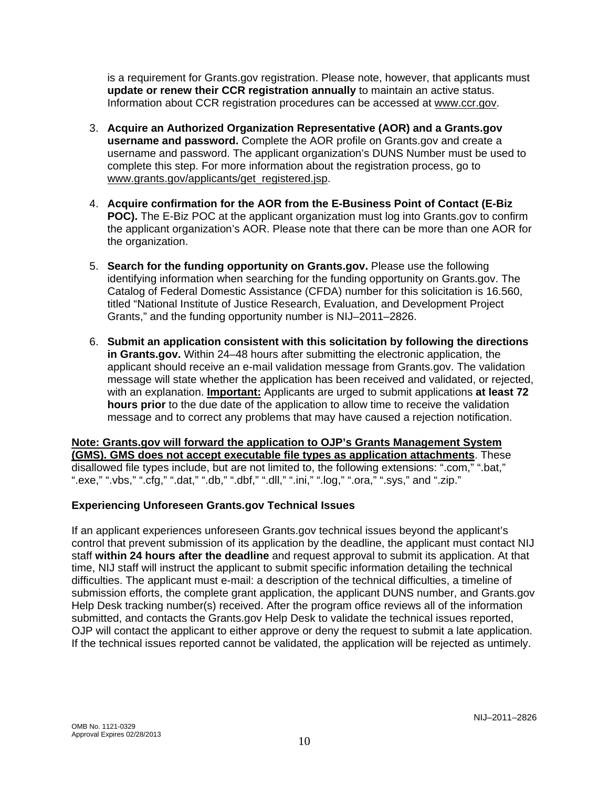is a requirement for Grants.gov registration. Please note, however, that applicants must **update or renew their CCR registration annually** to maintain an active status. Information about CCR registration procedures can be accessed at www.ccr.gov.

- 3. **Acquire an Authorized Organization Representative (AOR) and a Grants.gov username and password.** Complete the AOR profile on Grants.gov and create a username and password. The applicant organization's DUNS Number must be used to complete this step. For more information about the registration process, go to [www.grants.gov/applicants/get\\_registered.jsp](http://www.grants.gov/applicants/get_registered.jsp).
- 4. **Acquire confirmation for the AOR from the E-Business Point of Contact (E-Biz POC).** The E-Biz POC at the applicant organization must log into Grants.gov to confirm the applicant organization's AOR. Please note that there can be more than one AOR for the organization.
- 5. **Search for the funding opportunity on Grants.gov.** Please use the following identifying information when searching for the funding opportunity on Grants.gov. The Catalog of Federal Domestic Assistance (CFDA) number for this solicitation is 16.560, titled "National Institute of Justice Research, Evaluation, and Development Project Grants," and the funding opportunity number is NIJ–2011–2826.
- 6. **Submit an application consistent with this solicitation by following the directions in Grants.gov.** Within 24–48 hours after submitting the electronic application, the applicant should receive an e-mail validation message from Grants.gov. The validation message will state whether the application has been received and validated, or rejected, with an explanation. **Important:** Applicants are urged to submit applications **at least 72 hours prior** to the due date of the application to allow time to receive the validation message and to correct any problems that may have caused a rejection notification.

**Note: Grants.gov will forward the application to OJP's Grants Management System (GMS). GMS does not accept executable file types as application attachments**. These disallowed file types include, but are not limited to, the following extensions: ".com," ".bat," ".exe," ".vbs," ".cfg," ".dat," ".db," ".dbf," ".dll," ".ini," ".log," ".ora," ".sys," and ".zip."

### **Experiencing Unforeseen Grants.gov Technical Issues**

If an applicant experiences unforeseen Grants.gov technical issues beyond the applicant's control that prevent submission of its application by the deadline, the applicant must contact NIJ staff **within 24 hours after the deadline** and request approval to submit its application. At that time, NIJ staff will instruct the applicant to submit specific information detailing the technical difficulties. The applicant must e-mail: a description of the technical difficulties, a timeline of submission efforts, the complete grant application, the applicant DUNS number, and Grants.gov Help Desk tracking number(s) received. After the program office reviews all of the information submitted, and contacts the Grants.gov Help Desk to validate the technical issues reported, OJP will contact the applicant to either approve or deny the request to submit a late application. If the technical issues reported cannot be validated, the application will be rejected as untimely.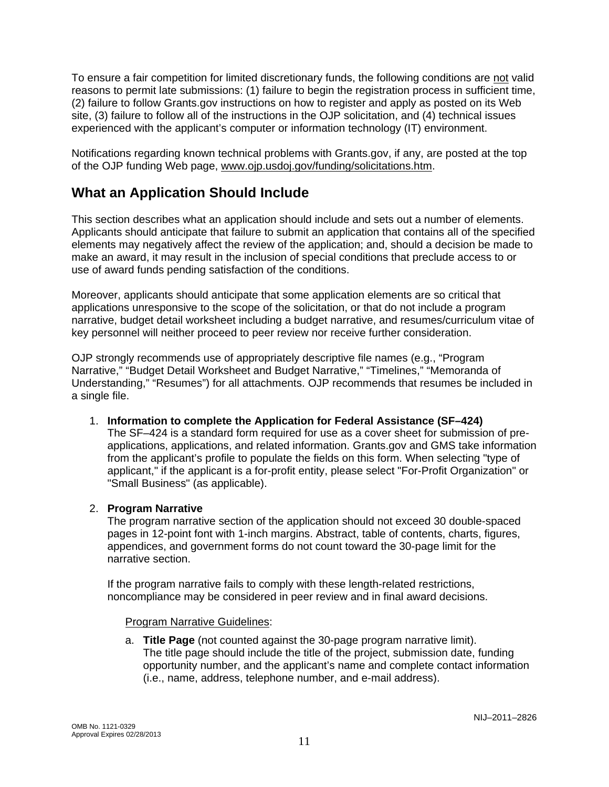To ensure a fair competition for limited discretionary funds, the following conditions are not valid reasons to permit late submissions: (1) failure to begin the registration process in sufficient time, (2) failure to follow Grants.gov instructions on how to register and apply as posted on its Web site, (3) failure to follow all of the instructions in the OJP solicitation, and (4) technical issues experienced with the applicant's computer or information technology (IT) environment.

Notifications regarding known technical problems with Grants.gov, if any, are posted at the top of the OJP funding Web page, [www.ojp.usdoj.gov/funding/solicitations.htm.](http://www.ojp.gov/funding/solicitations.htm)

# **What an Application Should Include**

This section describes what an application should include and sets out a number of elements. Applicants should anticipate that failure to submit an application that contains all of the specified elements may negatively affect the review of the application; and, should a decision be made to make an award, it may result in the inclusion of special conditions that preclude access to or use of award funds pending satisfaction of the conditions.

Moreover, applicants should anticipate that some application elements are so critical that applications unresponsive to the scope of the solicitation, or that do not include a program narrative, budget detail worksheet including a budget narrative, and resumes/curriculum vitae of key personnel will neither proceed to peer review nor receive further consideration.

OJP strongly recommends use of appropriately descriptive file names (e.g., "Program Narrative," "Budget Detail Worksheet and Budget Narrative," "Timelines," "Memoranda of Understanding," "Resumes") for all attachments. OJP recommends that resumes be included in a single file.

1. **Information to complete the Application for Federal Assistance (SF–424)** 

The SF–424 is a standard form required for use as a cover sheet for submission of preapplications, applications, and related information. Grants.gov and GMS take information from the applicant's profile to populate the fields on this form. When selecting "type of applicant," if the applicant is a for-profit entity, please select "For-Profit Organization" or "Small Business" (as applicable).

### 2. **Program Narrative**

The program narrative section of the application should not exceed 30 double-spaced pages in 12-point font with 1-inch margins. Abstract, table of contents, charts, figures, appendices, and government forms do not count toward the 30-page limit for the narrative section.

If the program narrative fails to comply with these length-related restrictions, noncompliance may be considered in peer review and in final award decisions.

### Program Narrative Guidelines:

a. **Title Page** (not counted against the 30-page program narrative limit). The title page should include the title of the project, submission date, funding opportunity number, and the applicant's name and complete contact information (i.e., name, address, telephone number, and e-mail address).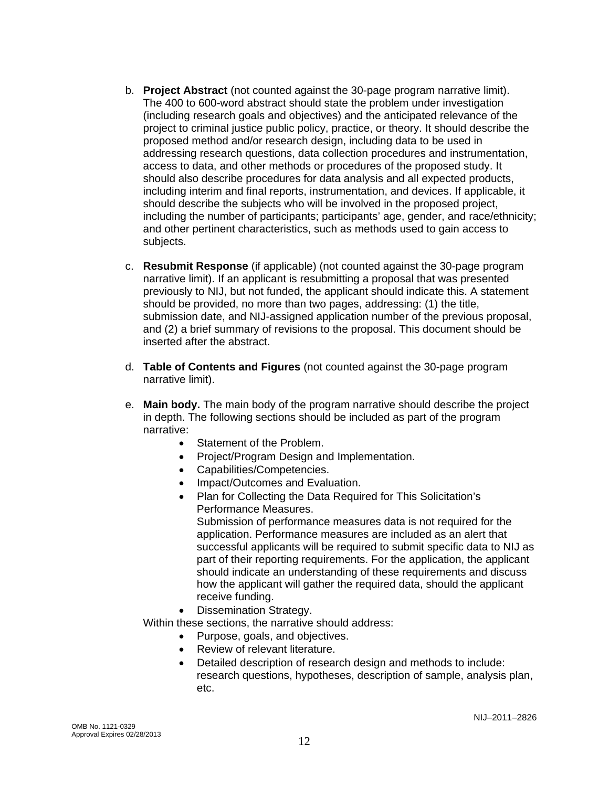- b. **Project Abstract** (not counted against the 30-page program narrative limit). The 400 to 600-word abstract should state the problem under investigation (including research goals and objectives) and the anticipated relevance of the project to criminal justice public policy, practice, or theory. It should describe the proposed method and/or research design, including data to be used in addressing research questions, data collection procedures and instrumentation, access to data, and other methods or procedures of the proposed study. It should also describe procedures for data analysis and all expected products, including interim and final reports, instrumentation, and devices. If applicable, it should describe the subjects who will be involved in the proposed project, including the number of participants; participants' age, gender, and race/ethnicity; and other pertinent characteristics, such as methods used to gain access to subjects.
- c. **Resubmit Response** (if applicable) (not counted against the 30-page program narrative limit). If an applicant is resubmitting a proposal that was presented previously to NIJ, but not funded, the applicant should indicate this. A statement should be provided, no more than two pages, addressing: (1) the title, submission date, and NIJ-assigned application number of the previous proposal, and (2) a brief summary of revisions to the proposal. This document should be inserted after the abstract.
- d. **Table of Contents and Figures** (not counted against the 30-page program narrative limit).
- e. **Main body.** The main body of the program narrative should describe the project in depth. The following sections should be included as part of the program narrative:
	- Statement of the Problem.
	- Project/Program Design and Implementation.
	- Capabilities/Competencies.
	- Impact/Outcomes and Evaluation.
	- Plan for Collecting the Data Required for This Solicitation's Performance Measures.

Submission of performance measures data is not required for the application. Performance measures are included as an alert that successful applicants will be required to submit specific data to NIJ as part of their reporting requirements. For the application, the applicant should indicate an understanding of these requirements and discuss how the applicant will gather the required data, should the applicant receive funding.

• Dissemination Strategy.

Within these sections, the narrative should address:

- Purpose, goals, and objectives.
- Review of relevant literature.
- Detailed description of research design and methods to include: research questions, hypotheses, description of sample, analysis plan, etc.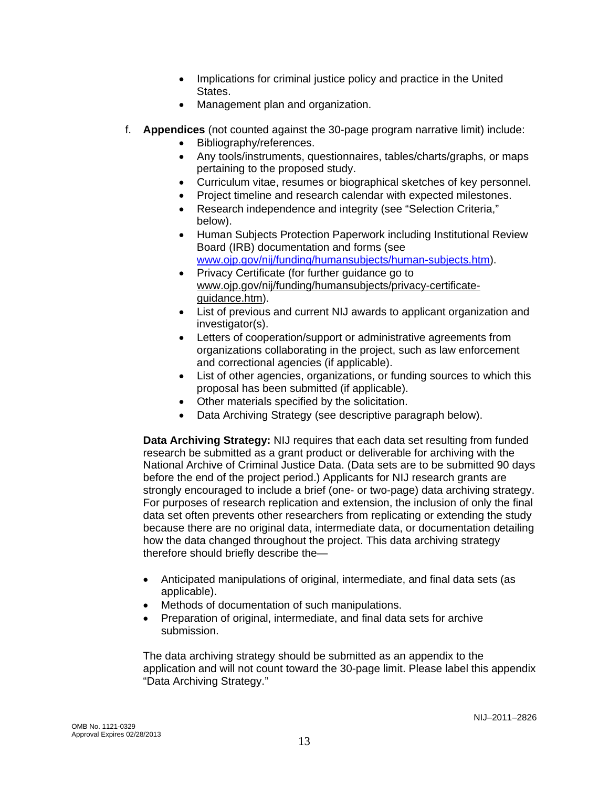- Implications for criminal justice policy and practice in the United States.
- Management plan and organization.
- f. **Appendices** (not counted against the 30-page program narrative limit) include:
	- Bibliography/references.
	- Any tools/instruments, questionnaires, tables/charts/graphs, or maps pertaining to the proposed study.
	- Curriculum vitae, resumes or biographical sketches of key personnel.
	- Project timeline and research calendar with expected milestones.
	- Research independence and integrity (see "Selection Criteria," below).
	- Human Subjects Protection Paperwork including Institutional Review Board (IRB) documentation and forms (see [www.ojp.gov/nij/funding/humansubjects/human-subjects.htm\)](http://www.ojp.gov/nij/funding/humansubjects/human-subjects.htm).
	- Privacy Certificate (for further guidance go to [www.ojp.gov/nij/funding/humansubjects/privacy-certificate](http://www.ojp.gov/nij/funding/humansubjects/privacy-certificate-guidance.htm)[guidance.htm](http://www.ojp.gov/nij/funding/humansubjects/privacy-certificate-guidance.htm)).
	- List of previous and current NIJ awards to applicant organization and investigator(s).
	- Letters of cooperation/support or administrative agreements from organizations collaborating in the project, such as law enforcement and correctional agencies (if applicable).
	- List of other agencies, organizations, or funding sources to which this proposal has been submitted (if applicable).
	- Other materials specified by the solicitation.
	- Data Archiving Strategy (see descriptive paragraph below).

**Data Archiving Strategy:** NIJ requires that each data set resulting from funded research be submitted as a grant product or deliverable for archiving with the National Archive of Criminal Justice Data. (Data sets are to be submitted 90 days before the end of the project period.) Applicants for NIJ research grants are strongly encouraged to include a brief (one- or two-page) data archiving strategy. For purposes of research replication and extension, the inclusion of only the final data set often prevents other researchers from replicating or extending the study because there are no original data, intermediate data, or documentation detailing how the data changed throughout the project. This data archiving strategy therefore should briefly describe the—

- Anticipated manipulations of original, intermediate, and final data sets (as applicable).
- Methods of documentation of such manipulations.
- Preparation of original, intermediate, and final data sets for archive submission.

The data archiving strategy should be submitted as an appendix to the application and will not count toward the 30-page limit. Please label this appendix "Data Archiving Strategy."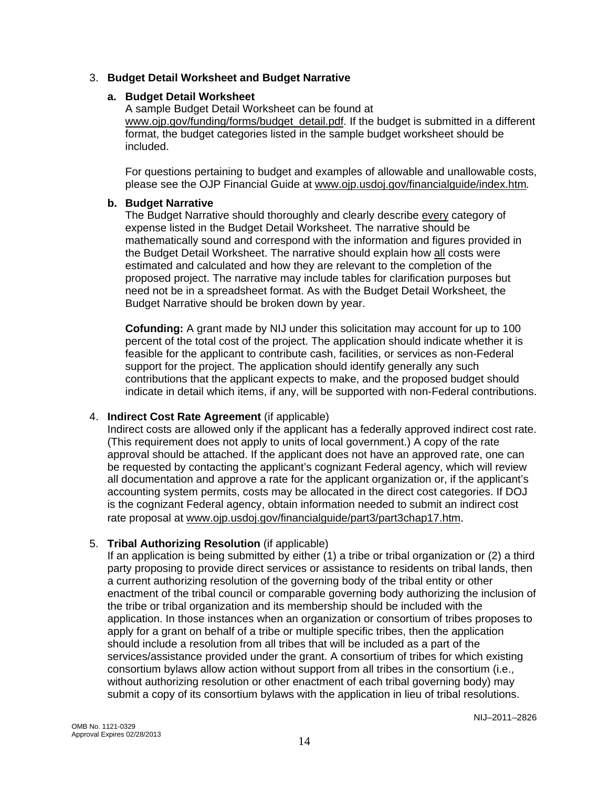### 3. **Budget Detail Worksheet and Budget Narrative**

### **a. Budget Detail Worksheet**

A sample Budget Detail Worksheet can be found at [www.ojp.gov/funding/forms/budget\\_detail.pdf.](http://www.ojp.gov/funding/forms/budget_detail.pdf) If the budget is submitted in a different format, the budget categories listed in the sample budget worksheet should be included.

For questions pertaining to budget and examples of allowable and unallowable costs, please see the OJP Financial Guide at [www.ojp.usdoj.gov/financialguide/index.htm](http://www.ojp.usdoj.gov/financialguide/index.htm)*.*

### **b. Budget Narrative**

The Budget Narrative should thoroughly and clearly describe every category of expense listed in the Budget Detail Worksheet. The narrative should be mathematically sound and correspond with the information and figures provided in the Budget Detail Worksheet. The narrative should explain how all costs were estimated and calculated and how they are relevant to the completion of the proposed project. The narrative may include tables for clarification purposes but need not be in a spreadsheet format. As with the Budget Detail Worksheet, the Budget Narrative should be broken down by year.

**Cofunding:** A grant made by NIJ under this solicitation may account for up to 100 percent of the total cost of the project. The application should indicate whether it is feasible for the applicant to contribute cash, facilities, or services as non-Federal support for the project. The application should identify generally any such contributions that the applicant expects to make, and the proposed budget should indicate in detail which items, if any, will be supported with non-Federal contributions.

### 4. **Indirect Cost Rate Agreement** (if applicable)

Indirect costs are allowed only if the applicant has a federally approved indirect cost rate. (This requirement does not apply to units of local government.) A copy of the rate approval should be attached. If the applicant does not have an approved rate, one can be requested by contacting the applicant's cognizant Federal agency, which will review all documentation and approve a rate for the applicant organization or, if the applicant's accounting system permits, costs may be allocated in the direct cost categories. If DOJ is the cognizant Federal agency, obtain information needed to submit an indirect cost rate proposal at [www.ojp.usdoj.gov/financialguide/part3/part3chap17.htm](http://www.ojp.usdoj.gov/financialguide/part3/part3chap17.htm).

### 5. **Tribal Authorizing Resolution** (if applicable)

If an application is being submitted by either (1) a tribe or tribal organization or (2) a third party proposing to provide direct services or assistance to residents on tribal lands, then a current authorizing resolution of the governing body of the tribal entity or other enactment of the tribal council or comparable governing body authorizing the inclusion of the tribe or tribal organization and its membership should be included with the application. In those instances when an organization or consortium of tribes proposes to apply for a grant on behalf of a tribe or multiple specific tribes, then the application should include a resolution from all tribes that will be included as a part of the services/assistance provided under the grant. A consortium of tribes for which existing consortium bylaws allow action without support from all tribes in the consortium (i.e., without authorizing resolution or other enactment of each tribal governing body) may submit a copy of its consortium bylaws with the application in lieu of tribal resolutions.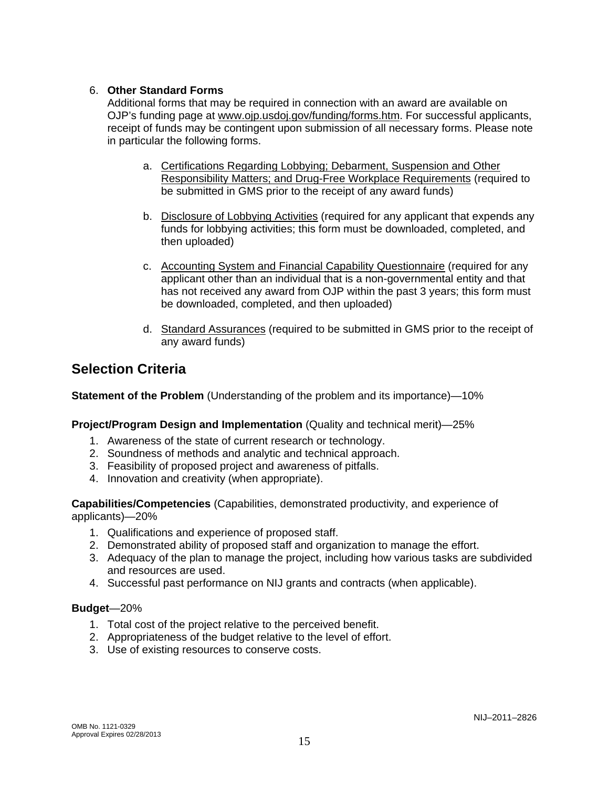### 6. **Other Standard Forms**

Additional forms that may be required in connection with an award are available on OJP's funding page at [www.ojp.usdoj.gov/funding/forms.htm](http://www.ojp.usdoj.gov/funding/forms.htm). For successful applicants, receipt of funds may be contingent upon submission of all necessary forms. Please note in particular the following forms.

- a. [Certifications Regarding Lobbying; Debarment, Suspension and Other](http://www.ojp.usdoj.gov/funding/forms/certifications.pdf)  [Responsibility Matters; and Drug-Free Workplace Requirements](http://www.ojp.usdoj.gov/funding/forms/certifications.pdf) (required to be submitted in GMS prior to the receipt of any award funds)
- b. [Disclosure of Lobbying Activities](http://www.ojp.usdoj.gov/funding/forms/disclosure.pdf) (required for any applicant that expends any funds for lobbying activities; this form must be downloaded, completed, and then uploaded)
- c. [Accounting System and Financial Capability Questionnaire](http://www.ojp.usdoj.gov/funding/forms/financial_capability.pdf) (required for any applicant other than an individual that is a non-governmental entity and that has not received any award from OJP within the past 3 years; this form must be downloaded, completed, and then uploaded)
- d. [Standard Assurances](http://www.ojp.usdoj.gov/funding/forms/std_assurances.pdf) (required to be submitted in GMS prior to the receipt of any award funds)

### **Selection Criteria**

**Statement of the Problem** (Understanding of the problem and its importance)—10%

### **Project/Program Design and Implementation** (Quality and technical merit)—25%

- 1. Awareness of the state of current research or technology.
- 2. Soundness of methods and analytic and technical approach.
- 3. Feasibility of proposed project and awareness of pitfalls.
- 4. Innovation and creativity (when appropriate).

**Capabilities/Competencies** (Capabilities, demonstrated productivity, and experience of applicants)—20%

- 1. Qualifications and experience of proposed staff.
- 2. Demonstrated ability of proposed staff and organization to manage the effort.
- 3. Adequacy of the plan to manage the project, including how various tasks are subdivided and resources are used.
- 4. Successful past performance on NIJ grants and contracts (when applicable).

### **Budget**—20%

- 1. Total cost of the project relative to the perceived benefit.
- 2. Appropriateness of the budget relative to the level of effort.
- 3. Use of existing resources to conserve costs.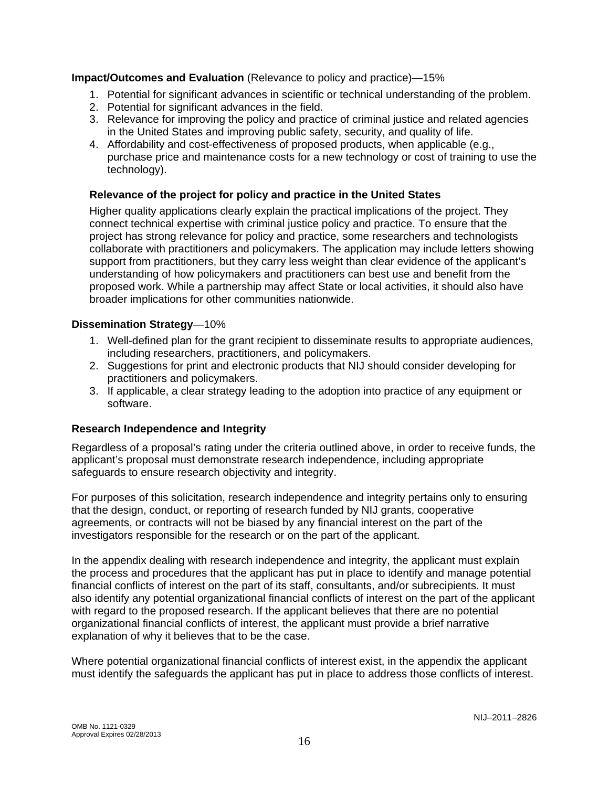**Impact/Outcomes and Evaluation** (Relevance to policy and practice)—15%

- 1. Potential for significant advances in scientific or technical understanding of the problem.
- 2. Potential for significant advances in the field.
- 3. Relevance for improving the policy and practice of criminal justice and related agencies in the United States and improving public safety, security, and quality of life.
- 4. Affordability and cost-effectiveness of proposed products, when applicable (e.g., purchase price and maintenance costs for a new technology or cost of training to use the technology).

### **Relevance of the project for policy and practice in the United States**

Higher quality applications clearly explain the practical implications of the project. They connect technical expertise with criminal justice policy and practice. To ensure that the project has strong relevance for policy and practice, some researchers and technologists collaborate with practitioners and policymakers. The application may include letters showing support from practitioners, but they carry less weight than clear evidence of the applicant's understanding of how policymakers and practitioners can best use and benefit from the proposed work. While a partnership may affect State or local activities, it should also have broader implications for other communities nationwide.

### **Dissemination Strategy**—10%

- 1. Well-defined plan for the grant recipient to disseminate results to appropriate audiences, including researchers, practitioners, and policymakers.
- 2. Suggestions for print and electronic products that NIJ should consider developing for practitioners and policymakers.
- 3. If applicable, a clear strategy leading to the adoption into practice of any equipment or software.

### **Research Independence and Integrity**

Regardless of a proposal's rating under the criteria outlined above, in order to receive funds, the applicant's proposal must demonstrate research independence, including appropriate safeguards to ensure research objectivity and integrity.

For purposes of this solicitation, research independence and integrity pertains only to ensuring that the design, conduct, or reporting of research funded by NIJ grants, cooperative agreements, or contracts will not be biased by any financial interest on the part of the investigators responsible for the research or on the part of the applicant.

In the appendix dealing with research independence and integrity, the applicant must explain the process and procedures that the applicant has put in place to identify and manage potential financial conflicts of interest on the part of its staff, consultants, and/or subrecipients. It must also identify any potential organizational financial conflicts of interest on the part of the applicant with regard to the proposed research. If the applicant believes that there are no potential organizational financial conflicts of interest, the applicant must provide a brief narrative explanation of why it believes that to be the case.

Where potential organizational financial conflicts of interest exist, in the appendix the applicant must identify the safeguards the applicant has put in place to address those conflicts of interest.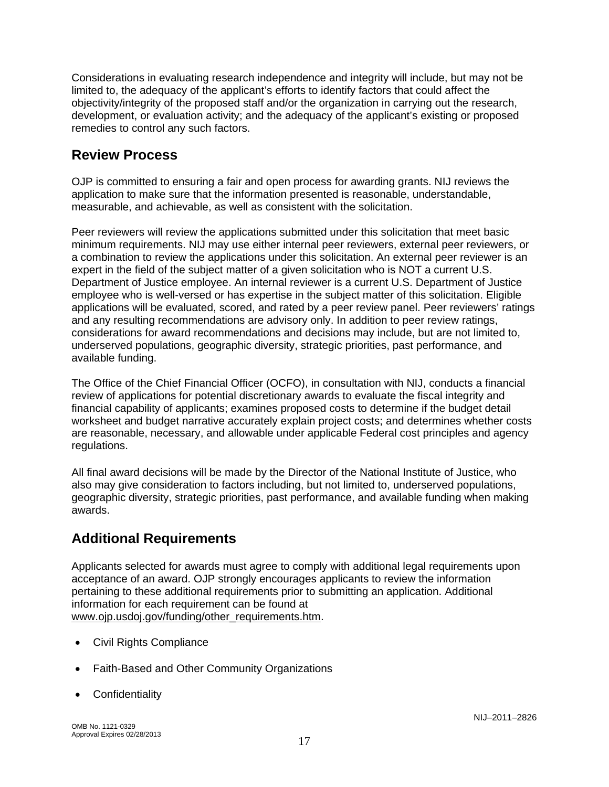Considerations in evaluating research independence and integrity will include, but may not be limited to, the adequacy of the applicant's efforts to identify factors that could affect the objectivity/integrity of the proposed staff and/or the organization in carrying out the research, development, or evaluation activity; and the adequacy of the applicant's existing or proposed remedies to control any such factors.

# **Review Process**

OJP is committed to ensuring a fair and open process for awarding grants. NIJ reviews the application to make sure that the information presented is reasonable, understandable, measurable, and achievable, as well as consistent with the solicitation.

Peer reviewers will review the applications submitted under this solicitation that meet basic minimum requirements. NIJ may use either internal peer reviewers, external peer reviewers, or a combination to review the applications under this solicitation. An external peer reviewer is an expert in the field of the subject matter of a given solicitation who is NOT a current U.S. Department of Justice employee. An internal reviewer is a current U.S. Department of Justice employee who is well-versed or has expertise in the subject matter of this solicitation. Eligible applications will be evaluated, scored, and rated by a peer review panel. Peer reviewers' ratings and any resulting recommendations are advisory only. In addition to peer review ratings, considerations for award recommendations and decisions may include, but are not limited to, underserved populations, geographic diversity, strategic priorities, past performance, and available funding.

The Office of the Chief Financial Officer (OCFO), in consultation with NIJ, conducts a financial review of applications for potential discretionary awards to evaluate the fiscal integrity and financial capability of applicants; examines proposed costs to determine if the budget detail worksheet and budget narrative accurately explain project costs; and determines whether costs are reasonable, necessary, and allowable under applicable Federal cost principles and agency regulations.

All final award decisions will be made by the Director of the National Institute of Justice, who also may give consideration to factors including, but not limited to, underserved populations, geographic diversity, strategic priorities, past performance, and available funding when making awards.

# **Additional Requirements**

Applicants selected for awards must agree to comply with additional legal requirements upon acceptance of an award. OJP strongly encourages applicants to review the information pertaining to these additional requirements prior to submitting an application. Additional information for each requirement can be found at [www.ojp.usdoj.gov/funding/other\\_requirements.htm.](http://www.ojp.usdoj.gov/funding/other_requirements.htm)

- [Civil Rights Compliance](http://www.ojp.usdoj.gov/about/ocr/statutes.htm)
- Faith-Based and Other Community Organizations
- **Confidentiality**

OMB No. 1121-0329 Approval Expires 02/28/2013 **17**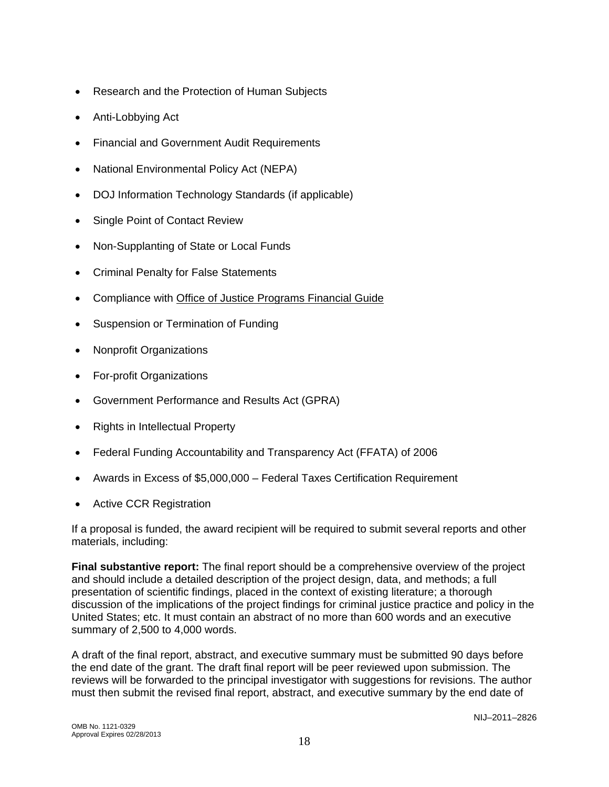- Research and the Protection of Human Subjects
- Anti-Lobbying Act
- Financial and Government Audit Requirements
- National Environmental Policy Act (NEPA)
- DOJ Information Technology Standards (if applicable)
- Single Point of Contact Review
- Non-Supplanting of State or Local Funds
- Criminal Penalty for False Statements
- Compliance with [Office of Justice Programs Financial Guide](http://www.ojp.usdoj.gov/financialguide/index.htm)
- Suspension or Termination of Funding
- Nonprofit Organizations
- For-profit Organizations
- Government Performance and Results Act (GPRA)
- Rights in Intellectual Property
- Federal Funding Accountability and Transparency Act (FFATA) of 2006
- Awards in Excess of \$5,000,000 Federal Taxes Certification Requirement
- Active CCR Registration

If a proposal is funded, the award recipient will be required to submit several reports and other materials, including:

**Final substantive report:** The final report should be a comprehensive overview of the project and should include a detailed description of the project design, data, and methods; a full presentation of scientific findings, placed in the context of existing literature; a thorough discussion of the implications of the project findings for criminal justice practice and policy in the United States; etc. It must contain an abstract of no more than 600 words and an executive summary of 2,500 to 4,000 words.

A draft of the final report, abstract, and executive summary must be submitted 90 days before the end date of the grant. The draft final report will be peer reviewed upon submission. The reviews will be forwarded to the principal investigator with suggestions for revisions. The author must then submit the revised final report, abstract, and executive summary by the end date of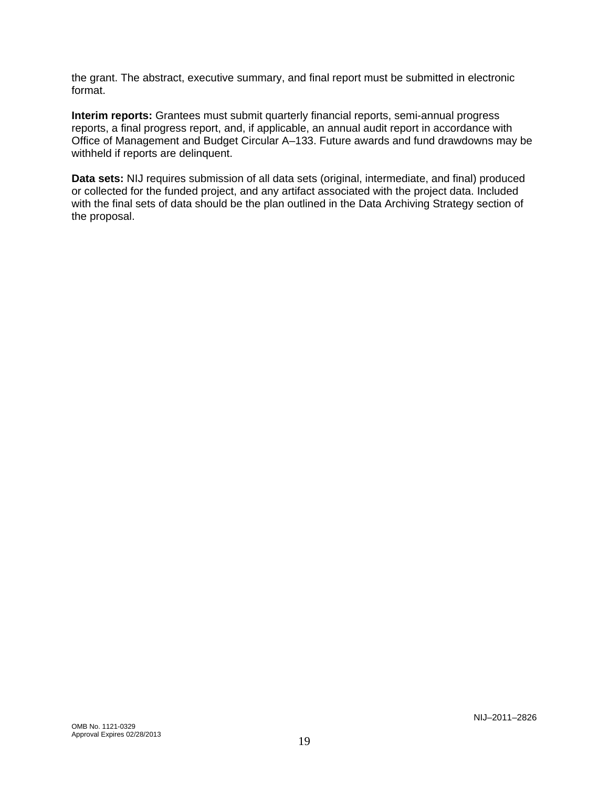the grant. The abstract, executive summary, and final report must be submitted in electronic format.

**Interim reports:** Grantees must submit quarterly financial reports, semi-annual progress reports, a final progress report, and, if applicable, an annual audit report in accordance with Office of Management and Budget Circular A–133. Future awards and fund drawdowns may be withheld if reports are delinquent.

**Data sets:** NIJ requires submission of all data sets (original, intermediate, and final) produced or collected for the funded project, and any artifact associated with the project data. Included with the final sets of data should be the plan outlined in the Data Archiving Strategy section of the proposal.